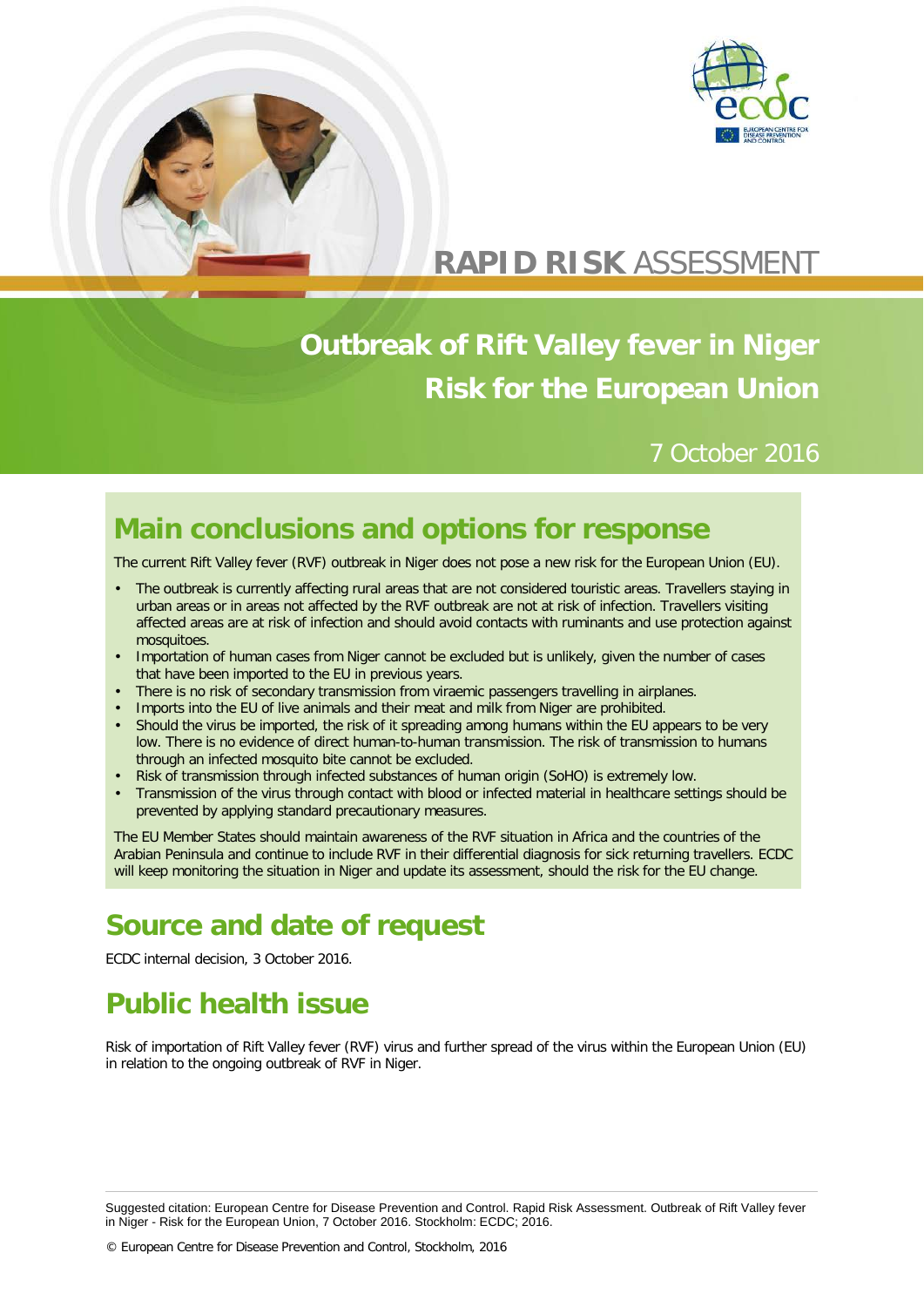



# **RAPID RISK** ASSESSMENT

# **Outbreak of Rift Valley fever in Niger Risk for the European Union**

### 7 October 2016

# **Main conclusions and options for response**

The current Rift Valley fever (RVF) outbreak in Niger does not pose a new risk for the European Union (EU).

- The outbreak is currently affecting rural areas that are not considered touristic areas. Travellers staying in urban areas or in areas not affected by the RVF outbreak are not at risk of infection. Travellers visiting affected areas are at risk of infection and should avoid contacts with ruminants and use protection against mosquitoes.
- Importation of human cases from Niger cannot be excluded but is unlikely, given the number of cases that have been imported to the EU in previous years.
- There is no risk of secondary transmission from viraemic passengers travelling in airplanes.
- Imports into the EU of live animals and their meat and milk from Niger are prohibited.
- Should the virus be imported, the risk of it spreading among humans within the EU appears to be very low. There is no evidence of direct human-to-human transmission. The risk of transmission to humans through an infected mosquito bite cannot be excluded.
- Risk of transmission through infected substances of human origin (SoHO) is extremely low.
- Transmission of the virus through contact with blood or infected material in healthcare settings should be prevented by applying standard precautionary measures.

The EU Member States should maintain awareness of the RVF situation in Africa and the countries of the Arabian Peninsula and continue to include RVF in their differential diagnosis for sick returning travellers. ECDC will keep monitoring the situation in Niger and update its assessment, should the risk for the EU change.

# **Source and date of request**

ECDC internal decision, 3 October 2016.

# **Public health issue**

Risk of importation of Rift Valley fever (RVF) virus and further spread of the virus within the European Union (EU) in relation to the ongoing outbreak of RVF in Niger.

Suggested citation: European Centre for Disease Prevention and Control. Rapid Risk Assessment. Outbreak of Rift Valley fever in Niger - Risk for the European Union, 7 October 2016. Stockholm: ECDC; 2016.

© European Centre for Disease Prevention and Control, Stockholm, 2016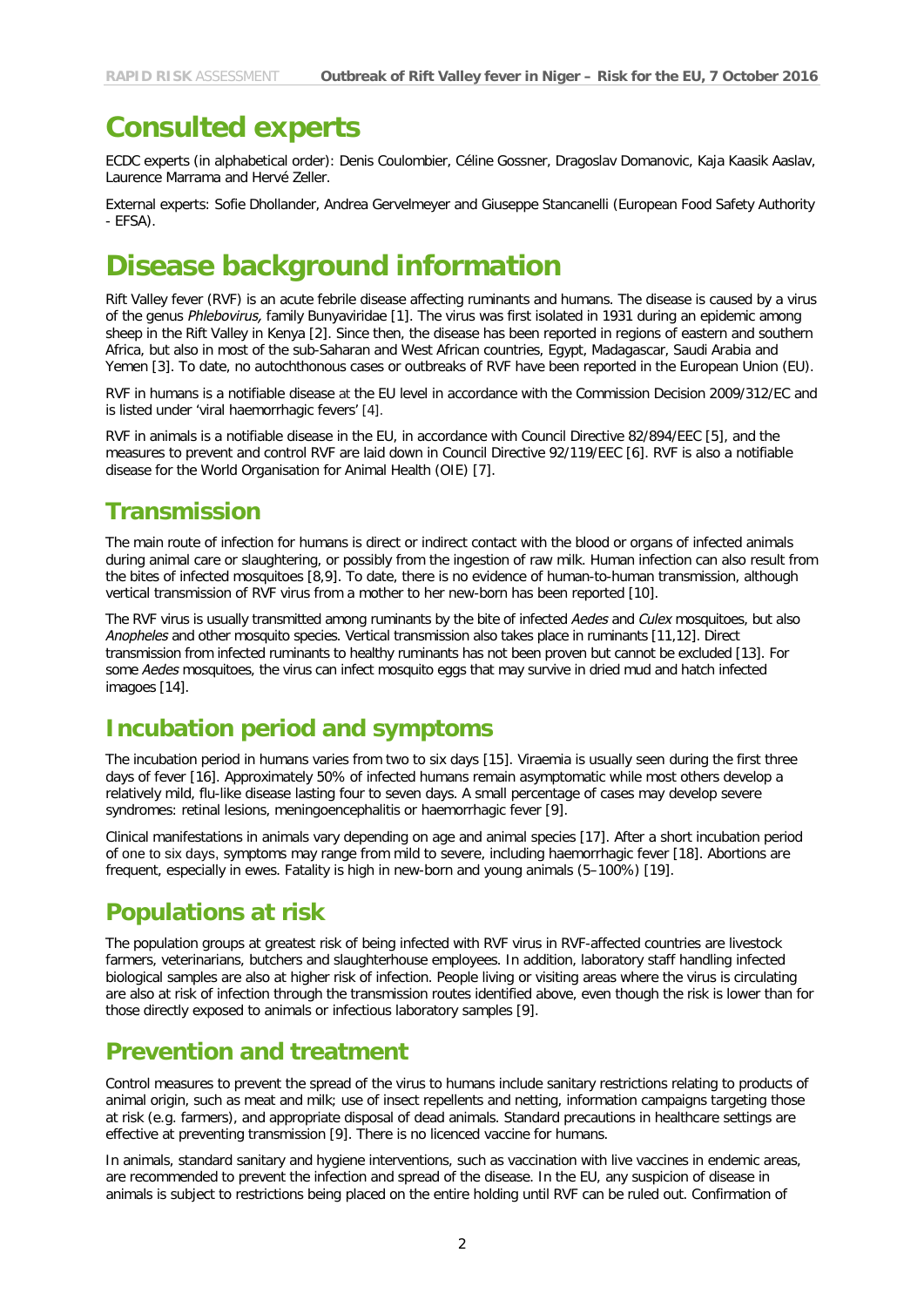# **Consulted experts**

ECDC experts (in alphabetical order): Denis Coulombier, Céline Gossner, Dragoslav Domanovic, Kaja Kaasik Aaslav, Laurence Marrama and Hervé Zeller.

External experts: Sofie Dhollander, Andrea Gervelmeyer and Giuseppe Stancanelli (European Food Safety Authority - EFSA).

# **Disease background information**

Rift Valley fever (RVF) is an acute febrile disease affecting ruminants and humans. The disease is caused by a virus of the genus *Phlebovirus,* family Bunyaviridae [1]. The virus was first isolated in 1931 during an epidemic among sheep in the Rift Valley in Kenya [2]. Since then, the disease has been reported in regions of eastern and southern Africa, but also in most of the sub-Saharan and West African countries, Egypt, Madagascar, Saudi Arabia and Yemen [3]. To date, no autochthonous cases or outbreaks of RVF have been reported in the European Union (EU).

RVF in humans is a notifiable disease at the EU level in accordance with the Commission Decision 2009/312/EC and is listed under 'viral haemorrhagic fevers' [4].

RVF in animals is a notifiable disease in the EU, in accordance with Council Directive 82/894/EEC [5], and the measures to prevent and control RVF are laid down in Council Directive 92/119/EEC [6]. RVF is also a notifiable disease for the World Organisation for Animal Health (OIE) [7].

#### **Transmission**

The main route of infection for humans is direct or indirect contact with the blood or organs of infected animals during animal care or slaughtering, or possibly from the ingestion of raw milk. Human infection can also result from the bites of infected mosquitoes [8,9]. To date, there is no evidence of human-to-human transmission, although vertical transmission of RVF virus from a mother to her new-born has been reported [10].

The RVF virus is usually transmitted among ruminants by the bite of infected *Aedes* and *Culex* mosquitoes, but also *Anopheles* and other mosquito species. Vertical transmission also takes place in ruminants [11,12]. Direct transmission from infected ruminants to healthy ruminants has not been proven but cannot be excluded [13]. For some *Aedes* mosquitoes, the virus can infect mosquito eggs that may survive in dried mud and hatch infected imagoes [14].

### **Incubation period and symptoms**

The incubation period in humans varies from two to six days [15]. Viraemia is usually seen during the first three days of fever [16]. Approximately 50% of infected humans remain asymptomatic while most others develop a relatively mild, flu-like disease lasting four to seven days. A small percentage of cases may develop severe syndromes: retinal lesions, meningoencephalitis or haemorrhagic fever [9].

Clinical manifestations in animals vary depending on age and animal species [17]. After a short incubation period of one to six days, symptoms may range from mild to severe, including haemorrhagic fever [18]. Abortions are frequent, especially in ewes. Fatality is high in new-born and young animals (5–100%) [19].

### **Populations at risk**

The population groups at greatest risk of being infected with RVF virus in RVF-affected countries are livestock farmers, veterinarians, butchers and slaughterhouse employees. In addition, laboratory staff handling infected biological samples are also at higher risk of infection. People living or visiting areas where the virus is circulating are also at risk of infection through the transmission routes identified above, even though the risk is lower than for those directly exposed to animals or infectious laboratory samples [9].

#### **Prevention and treatment**

Control measures to prevent the spread of the virus to humans include sanitary restrictions relating to products of animal origin, such as meat and milk; use of insect repellents and netting, information campaigns targeting those at risk (e.g. farmers), and appropriate disposal of dead animals. Standard precautions in healthcare settings are effective at preventing transmission [9]. There is no licenced vaccine for humans.

In animals, standard sanitary and hygiene interventions, such as vaccination with live vaccines in endemic areas, are recommended to prevent the infection and spread of the disease. In the EU, any suspicion of disease in animals is subject to restrictions being placed on the entire holding until RVF can be ruled out. Confirmation of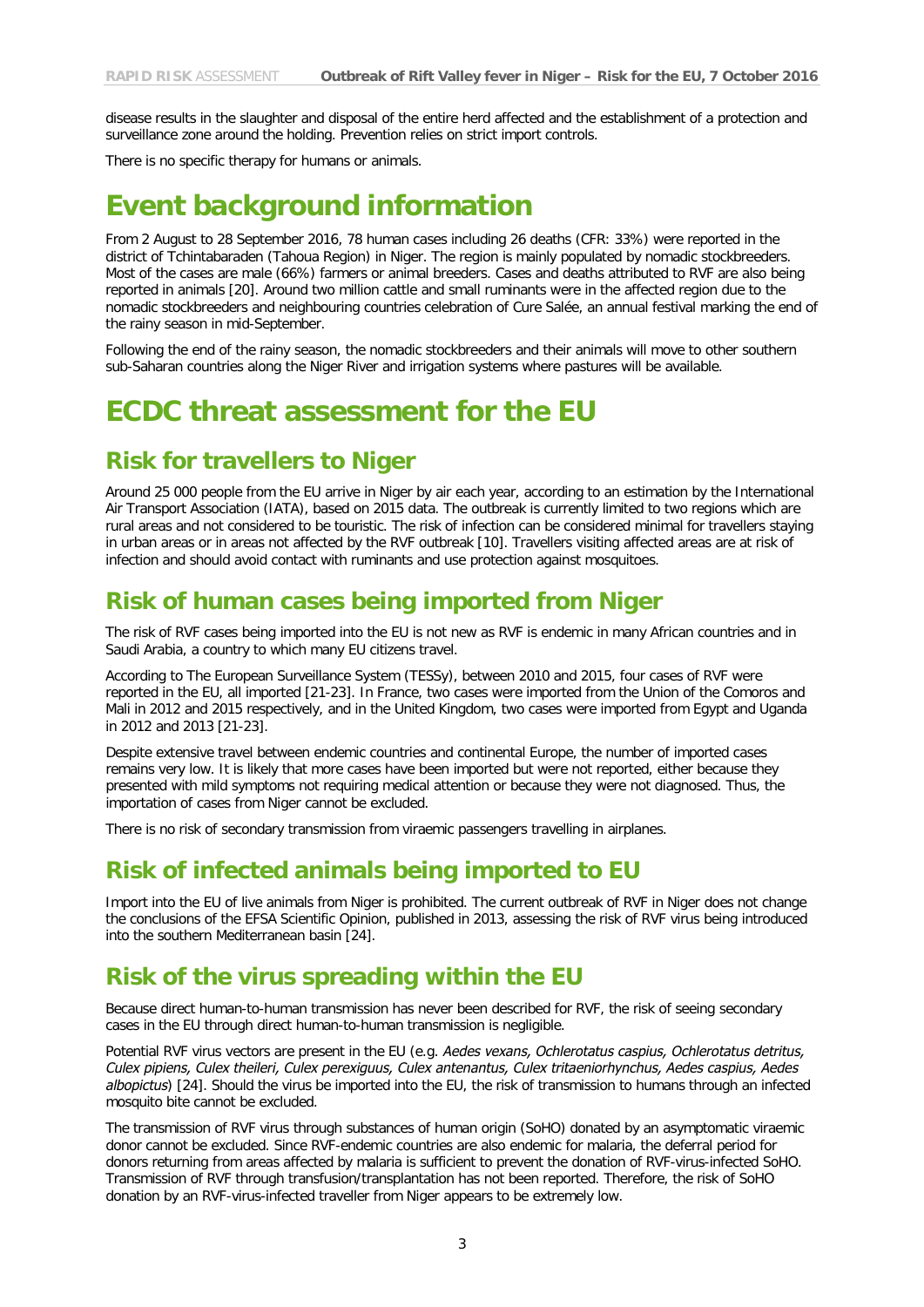disease results in the slaughter and disposal of the entire herd affected and the establishment of a protection and surveillance zone around the holding. Prevention relies on strict import controls.

There is no specific therapy for humans or animals.

## **Event background information**

From 2 August to 28 September 2016, 78 human cases including 26 deaths (CFR: 33%) were reported in the district of Tchintabaraden (Tahoua Region) in Niger. The region is mainly populated by nomadic stockbreeders. Most of the cases are male (66%) farmers or animal breeders. Cases and deaths attributed to RVF are also being reported in animals [20]. Around two million cattle and small ruminants were in the affected region due to the nomadic stockbreeders and neighbouring countries celebration of Cure Salée, an annual festival marking the end of the rainy season in mid-September.

Following the end of the rainy season, the nomadic stockbreeders and their animals will move to other southern sub-Saharan countries along the Niger River and irrigation systems where pastures will be available.

### **ECDC threat assessment for the EU**

#### **Risk for travellers to Niger**

Around 25 000 people from the EU arrive in Niger by air each year, according to an estimation by the International Air Transport Association (IATA), based on 2015 data. The outbreak is currently limited to two regions which are rural areas and not considered to be touristic. The risk of infection can be considered minimal for travellers staying in urban areas or in areas not affected by the RVF outbreak [10]. Travellers visiting affected areas are at risk of infection and should avoid contact with ruminants and use protection against mosquitoes.

#### **Risk of human cases being imported from Niger**

The risk of RVF cases being imported into the EU is not new as RVF is endemic in many African countries and in Saudi Arabia, a country to which many EU citizens travel.

According to The European Surveillance System (TESSy), between 2010 and 2015, four cases of RVF were reported in the EU, all imported [21-23]. In France, two cases were imported from the Union of the Comoros and Mali in 2012 and 2015 respectively, and in the United Kingdom, two cases were imported from Egypt and Uganda in 2012 and 2013 [21-23].

Despite extensive travel between endemic countries and continental Europe, the number of imported cases remains very low. It is likely that more cases have been imported but were not reported, either because they presented with mild symptoms not requiring medical attention or because they were not diagnosed. Thus, the importation of cases from Niger cannot be excluded.

There is no risk of secondary transmission from viraemic passengers travelling in airplanes.

#### **Risk of infected animals being imported to EU**

Import into the EU of live animals from Niger is prohibited. The current outbreak of RVF in Niger does not change the conclusions of the EFSA Scientific Opinion, published in 2013, assessing the risk of RVF virus being introduced into the southern Mediterranean basin [24].

#### **Risk of the virus spreading within the EU**

Because direct human-to-human transmission has never been described for RVF, the risk of seeing secondary cases in the EU through direct human-to-human transmission is negligible.

Potential RVF virus vectors are present in the EU (e.g. *Aedes vexans, Ochlerotatus caspius, Ochlerotatus detritus, Culex pipiens, Culex theileri, Culex perexiguus, Culex antenantus, Culex tritaeniorhynchus, Aedes caspius, Aedes albopictus*) [24]. Should the virus be imported into the EU, the risk of transmission to humans through an infected mosquito bite cannot be excluded.

The transmission of RVF virus through substances of human origin (SoHO) donated by an asymptomatic viraemic donor cannot be excluded. Since RVF-endemic countries are also endemic for malaria, the deferral period for donors returning from areas affected by malaria is sufficient to prevent the donation of RVF-virus-infected SoHO. Transmission of RVF through transfusion/transplantation has not been reported. Therefore, the risk of SoHO donation by an RVF-virus-infected traveller from Niger appears to be extremely low.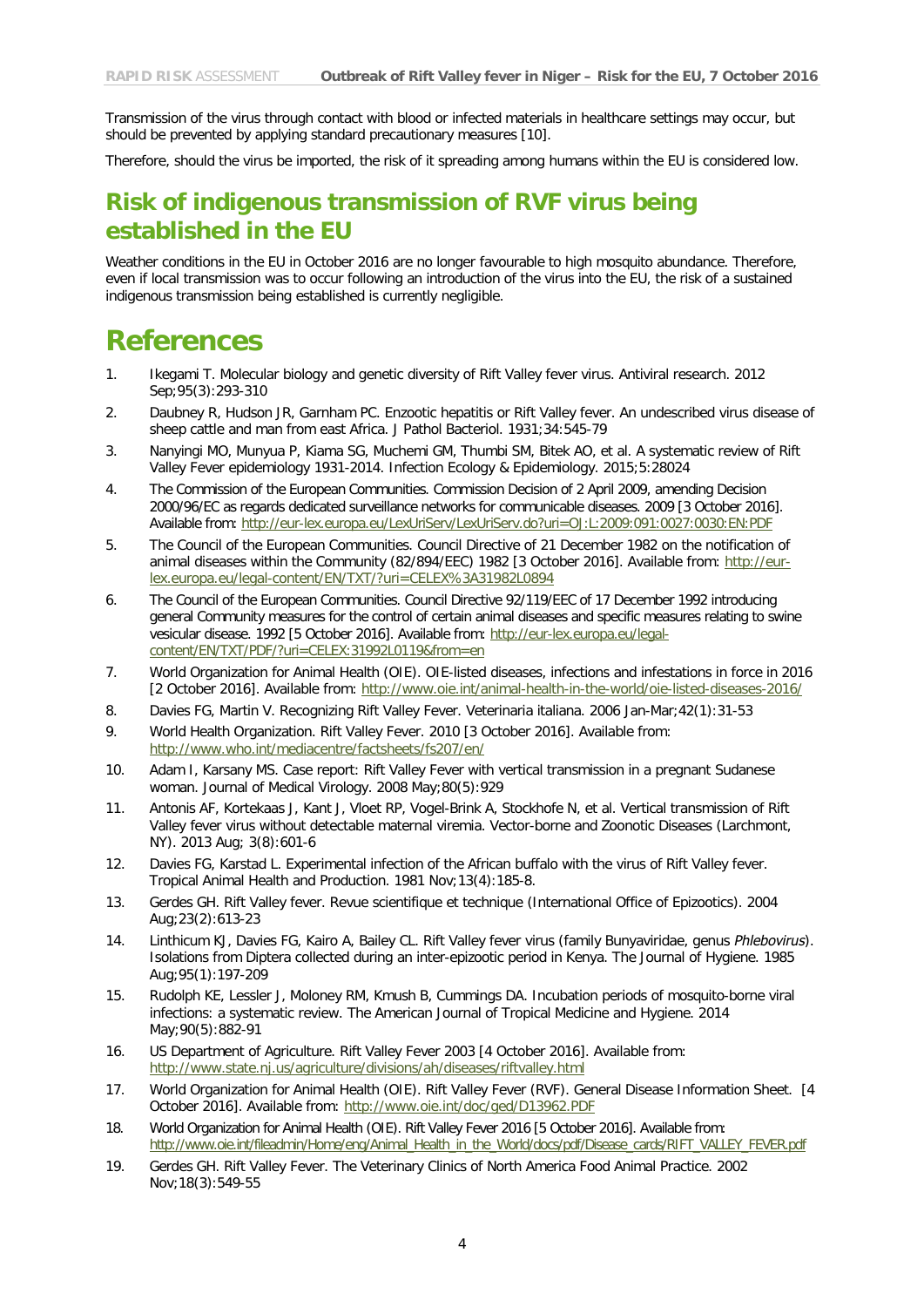Transmission of the virus through contact with blood or infected materials in healthcare settings may occur, but should be prevented by applying standard precautionary measures [10].

Therefore, should the virus be imported, the risk of it spreading among humans within the EU is considered low.

### **Risk of indigenous transmission of RVF virus being established in the EU**

Weather conditions in the EU in October 2016 are no longer favourable to high mosquito abundance. Therefore, even if local transmission was to occur following an introduction of the virus into the EU, the risk of a sustained indigenous transmission being established is currently negligible.

### **References**

- 1. Ikegami T. Molecular biology and genetic diversity of Rift Valley fever virus. Antiviral research. 2012 Sep;95(3):293-310
- 2. Daubney R, Hudson JR, Garnham PC. Enzootic hepatitis or Rift Valley fever. An undescribed virus disease of sheep cattle and man from east Africa. J Pathol Bacteriol. 1931;34:545-79
- 3. Nanyingi MO, Munyua P, Kiama SG, Muchemi GM, Thumbi SM, Bitek AO, et al. A systematic review of Rift Valley Fever epidemiology 1931-2014. Infection Ecology & Epidemiology. 2015;5:28024
- 4. The Commission of the European Communities. Commission Decision of 2 April 2009, amending Decision 2000/96/EC as regards dedicated surveillance networks for communicable diseases. 2009 [3 October 2016]. Available from:<http://eur-lex.europa.eu/LexUriServ/LexUriServ.do?uri=OJ:L:2009:091:0027:0030:EN:PDF>
- 5. The Council of the European Communities. Council Directive of 21 December 1982 on the notification of animal diseases within the Community (82/894/EEC) 1982 [3 October 2016]. Available from: [http://eur](http://eur-lex.europa.eu/legal-content/EN/TXT/?uri=CELEX%3A31982L0894)[lex.europa.eu/legal-content/EN/TXT/?uri=CELEX%3A31982L0894](http://eur-lex.europa.eu/legal-content/EN/TXT/?uri=CELEX%3A31982L0894)
- 6. The Council of the European Communities. Council Directive 92/119/EEC of 17 December 1992 introducing general Community measures for the control of certain animal diseases and specific measures relating to swine vesicular disease. 1992 [5 October 2016]. Available from: [http://eur-lex.europa.eu/legal](http://eur-lex.europa.eu/legal-content/EN/TXT/PDF/?uri=CELEX:31992L0119&from=en)[content/EN/TXT/PDF/?uri=CELEX:31992L0119&from=en](http://eur-lex.europa.eu/legal-content/EN/TXT/PDF/?uri=CELEX:31992L0119&from=en)
- 7. World Organization for Animal Health (OIE). OIE-listed diseases, infections and infestations in force in 2016 [2 October 2016]. Available from: <http://www.oie.int/animal-health-in-the-world/oie-listed-diseases-2016/>
- 8. Davies FG, Martin V. Recognizing Rift Valley Fever. Veterinaria italiana. 2006 Jan-Mar;42(1):31-53
- 9. World Health Organization. Rift Valley Fever. 2010 [3 October 2016]. Available from: <http://www.who.int/mediacentre/factsheets/fs207/en/>
- 10. Adam I, Karsany MS. Case report: Rift Valley Fever with vertical transmission in a pregnant Sudanese woman. Journal of Medical Virology. 2008 May;80(5):929
- 11. Antonis AF, Kortekaas J, Kant J, Vloet RP, Vogel-Brink A, Stockhofe N, et al. Vertical transmission of Rift Valley fever virus without detectable maternal viremia. Vector-borne and Zoonotic Diseases (Larchmont, NY). 2013 Aug; 3(8):601-6
- 12. Davies FG, Karstad L. Experimental infection of the African buffalo with the virus of Rift Valley fever. Tropical Animal Health and Production. 1981 Nov;13(4):185-8.
- 13. Gerdes GH. Rift Valley fever. Revue scientifique et technique (International Office of Epizootics). 2004 Aug;23(2):613-23
- 14. Linthicum KJ, Davies FG, Kairo A, Bailey CL. Rift Valley fever virus (family Bunyaviridae, genus *Phlebovirus*). Isolations from Diptera collected during an inter-epizootic period in Kenya. The Journal of Hygiene. 1985 Aug;95(1):197-209
- 15. Rudolph KE, Lessler J, Moloney RM, Kmush B, Cummings DA. Incubation periods of mosquito-borne viral infections: a systematic review. The American Journal of Tropical Medicine and Hygiene. 2014 May;90(5):882-91
- 16. US Department of Agriculture. Rift Valley Fever 2003 [4 October 2016]. Available from: <http://www.state.nj.us/agriculture/divisions/ah/diseases/riftvalley.html>
- 17. World Organization for Animal Health (OIE). Rift Valley Fever (RVF). General Disease Information Sheet. [4 October 2016]. Available from: <http://www.oie.int/doc/ged/D13962.PDF>
- 18. World Organization for Animal Health (OIE). Rift Valley Fever 2016 [5 October 2016]. Available from: [http://www.oie.int/fileadmin/Home/eng/Animal\\_Health\\_in\\_the\\_World/docs/pdf/Disease\\_cards/RIFT\\_VALLEY\\_FEVER.pdf](http://www.oie.int/fileadmin/Home/eng/Animal_Health_in_the_World/docs/pdf/Disease_cards/RIFT_VALLEY_FEVER.pdf)
- 19. Gerdes GH. Rift Valley Fever. The Veterinary Clinics of North America Food Animal Practice. 2002 Nov;18(3):549-55